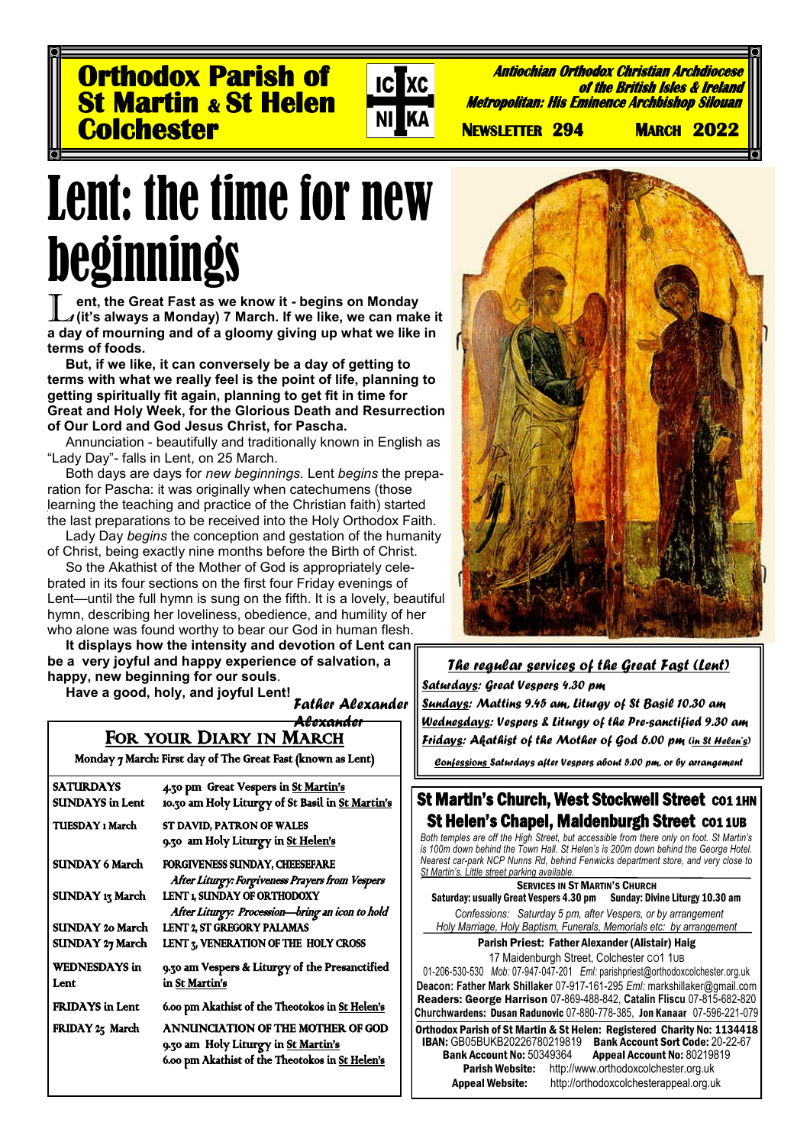**Orthodox Parish of St Martin & St Helen Colchester** 



**Antiochian Orthodox Christian Archdiocese of the British Isles & Ireland Metropolitan: His Eminence Archbishop Silouan** 

 **NEWSLETTER 294 MARCH 2022** 

# Lent: the time for new beginnings

**Example 15 In the Great Fast as we know it - begins on Monday**<br>Let it's always a Monday) 7 March. If we like, we can make it<br>a day of mourning and of a gloomy giving up what we like in **ent, the Great Fast as we know it - begins on Monday (it's always a Monday) 7 March. If we like, we can make it terms of foods.** 

**But, if we like, it can conversely be a day of getting to terms with what we really feel is the point of life, planning to getting spiritually fit again, planning to get fit in time for Great and Holy Week, for the Glorious Death and Resurrection of Our Lord and God Jesus Christ, for Pascha.**

Annunciation - beautifully and traditionally known in English as "Lady Day"- falls in Lent, on 25 March.

Both days are days for *new beginnings.* Lent *begins* the preparation for Pascha: it was originally when catechumens (those learning the teaching and practice of the Christian faith) started the last preparations to be received into the Holy Orthodox Faith.

Lady Day *begins* the conception and gestation of the humanity of Christ, being exactly nine months before the Birth of Christ.

So the Akathist of the Mother of God is appropriately celebrated in its four sections on the first four Friday evenings of Lent—until the full hymn is sung on the fifth. It is a lovely, beautiful hymn, describing her loveliness, obedience, and humility of her who alone was found worthy to bear our God in human flesh.

**It displays how the intensity and devotion of Lent can be a very joyful and happy experience of salvation, a happy, new beginning for our souls**.

**Have a good, holy, and joyful Lent!**

*Father Alexander* 

### *Alexander*

FOR YOUR DIARY IN MARCH Monday 7 March: First day of The Great Fast (known as Lent)

| 4.30 pm Great Vespers in St Martin's             |
|--------------------------------------------------|
| 10.30 am Holy Liturgy of St Basil in St Martin's |
| ST DAVID, PATRON OF WALES                        |
| 9.30 am Holy Liturgy in St Helen's               |
| FORGIVENESS SUNDAY, CHEESEFARE                   |
| After Liturgy: Forgiveness Prayers from Vespers  |
| LENT 1, SUNDAY OF ORTHODOXY                      |
| After Liturgy: Procession-bring an icon to hold  |
| LENT 2, ST GREGORY PALAMAS                       |
| LENT 3, VENERATION OF THE HOLY CROSS             |
| 9.30 am Vespers & Liturgy of the Presanctified   |
| in St Martin's                                   |
| 6.00 pm Akathist of the Theotokos in St Helen's  |
| ANNUNCIATION OF THE MOTHER OF GOD                |
| 9.30 am Holy Liturgy in St Martin's              |
| 6.00 pm Akathist of the Theotokos in St Helen's  |
|                                                  |
|                                                  |

I



#### *The regular services of the Great Fast (Lent) Saturdays: Great Vespers 4.30 pm Sundays: Mattins 9.45 am, Liturgy of St Basil 10.30 am Wednesdays: Vespers & Liturgy of the Pre-sanctified 9.30 am Fridays: Akathist of the Mother of God 6.00 pm (in St Helen's)*

*Confessions Saturdays after Vespers about 5.00 pm, or by arrangement*

#### St Martin's Church, West Stockwell Street CO1 1HN St Helen's Chapel, Maidenburgh Street CO1 1UB

*Both temples are off the High Street, but accessible from there only on foot. St Martin's is 100m down behind the Town Hall. St Helen's is 200m down behind the George Hotel. Nearest car-park NCP Nunns Rd, behind Fenwicks department store, and very close to St Martin's. Little street parking available.*

SERVICES IN ST MARTIN'S CHURCH Saturday: usually Great Vespers 4.30 pm Sunday: Divine Liturgy 10.30 am *Confessions: Saturday 5 pm, after Vespers, or by arrangement Holy Marriage, Holy Baptism, Funerals, Memorials etc: by arrangement* Parish Priest: Father Alexander (Alistair) Haig 17 Maidenburgh Street, Colchester CO1 1UB

01-206-530-530 *Mob:* 07-947-047-201 *Eml:* parishpriest@orthodoxcolchester.org.uk **Deacon: Father Mark Shillaker** 07-917-161-295 *Eml:* markshillaker@gmail.com Readers: George Harrison 07-869-488-842, **Catalin Fliscu** 07-815-682-820 **Churchw**ardens: Dusan Radunovic 07-880-778-385, Jon Kanaar 07-596-221-079

Orthodox Parish of St Martin & St Helen: Registered Charity No: 1134418 IBAN: GB05BUKB20226780219819 Bank Account Sort Code: 20-22-67<br>Bank Account No: 50349364 Appeal Account No: 80219819 k Account No: 50349364 Appeal Account No: 80219819<br>Parish Website: http://www.orthodoxcolchester.org.uk [http://www.orthodoxcolchester.org.uk](http://www.orthodoxcolchester.org.uk/)

Appeal Website: http://orthodoxcolchesterappeal.org.uk